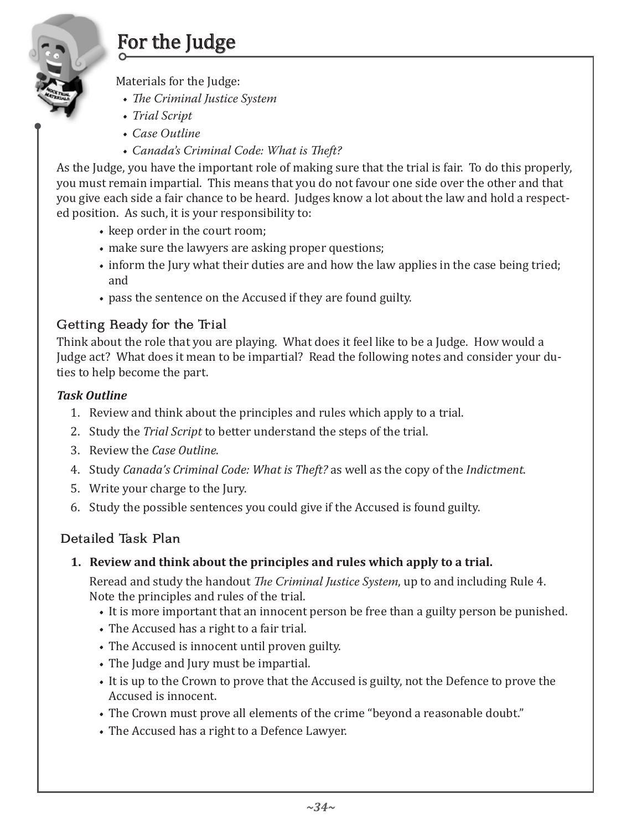# For the Judge

Materials for the Judge:

- *The Criminal Justice System*
- *Trial Script*
- *Case Outline*
- *Canada's Criminal Code: What is Theft?*

As the Judge, you have the important role of making sure that the trial is fair. To do this properly, you must remain impartial. This means that you do not favour one side over the other and that you give each side a fair chance to be heard. Judges know a lot about the law and hold a respected position. As such, it is your responsibility to:

- keep order in the court room;
- make sure the lawyers are asking proper questions;
- inform the Jury what their duties are and how the law applies in the case being tried; and
- pass the sentence on the Accused if they are found guilty.

# Getting Ready for the Trial

Think about the role that you are playing. What does it feel like to be a Judge. How would a Judge act? What does it mean to be impartial? Read the following notes and consider your duties to help become the part.

# *Task Outline*

- 1. Review and think about the principles and rules which apply to a trial.
- 2. Study the *Trial Script* to better understand the steps of the trial.
- 3. Review the *Case Outline*.
- 4. Study *Canada's Criminal Code: What is Theft?* as well as the copy of the *Indictment*.
- 5. Write your charge to the Jury.
- 6. Study the possible sentences you could give if the Accused is found guilty.

# Detailed Task Plan

**1. Review and think about the principles and rules which apply to a trial.**

Reread and study the handout *The Criminal Justice System*, up to and including Rule 4. Note the principles and rules of the trial.

- It is more important that an innocent person be free than a guilty person be punished.
- The Accused has a right to a fair trial.
- The Accused is innocent until proven guilty.
- The Judge and Jury must be impartial.
- It is up to the Crown to prove that the Accused is guilty, not the Defence to prove the Accused is innocent.
- The Crown must prove all elements of the crime "beyond a reasonable doubt."
- The Accused has a right to a Defence Lawyer.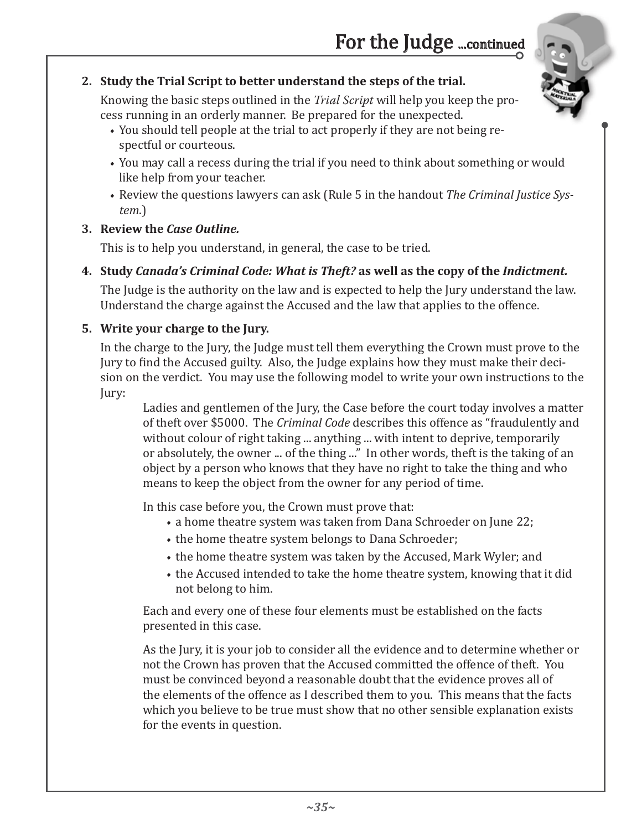### **2. Study the Trial Script to better understand the steps of the trial.**

Knowing the basic steps outlined in the *Trial Script* will help you keep the process running in an orderly manner. Be prepared for the unexpected.

- You should tell people at the trial to act properly if they are not being respectful or courteous.
- You may call a recess during the trial if you need to think about something or would like help from your teacher.
- Review the questions lawyers can ask (Rule 5 in the handout *The Criminal Justice System*.)

#### **3. Review the** *Case Outline.*

This is to help you understand, in general, the case to be tried.

**4. Study** *Canada's Criminal Code: What is Theft?* **as well as the copy of the** *Indictment.*

The Judge is the authority on the law and is expected to help the Jury understand the law. Understand the charge against the Accused and the law that applies to the offence.

#### **5. Write your charge to the Jury.**

In the charge to the Jury, the Judge must tell them everything the Crown must prove to the Jury to find the Accused guilty. Also, the Judge explains how they must make their decision on the verdict. You may use the following model to write your own instructions to the Jury:

Ladies and gentlemen of the Jury, the Case before the court today involves a matter of theft over \$5000. The *Criminal Code* describes this offence as "fraudulently and without colour of right taking ... anything ... with intent to deprive, temporarily or absolutely, the owner ... of the thing ..." In other words, theft is the taking of an object by a person who knows that they have no right to take the thing and who means to keep the object from the owner for any period of time.

In this case before you, the Crown must prove that:

- a home theatre system was taken from Dana Schroeder on June 22;
- the home theatre system belongs to Dana Schroeder;
- the home theatre system was taken by the Accused, Mark Wyler; and
- the Accused intended to take the home theatre system, knowing that it did not belong to him.

Each and every one of these four elements must be established on the facts presented in this case.

As the Jury, it is your job to consider all the evidence and to determine whether or not the Crown has proven that the Accused committed the offence of theft. You must be convinced beyond a reasonable doubt that the evidence proves all of the elements of the offence as I described them to you. This means that the facts which you believe to be true must show that no other sensible explanation exists for the events in question.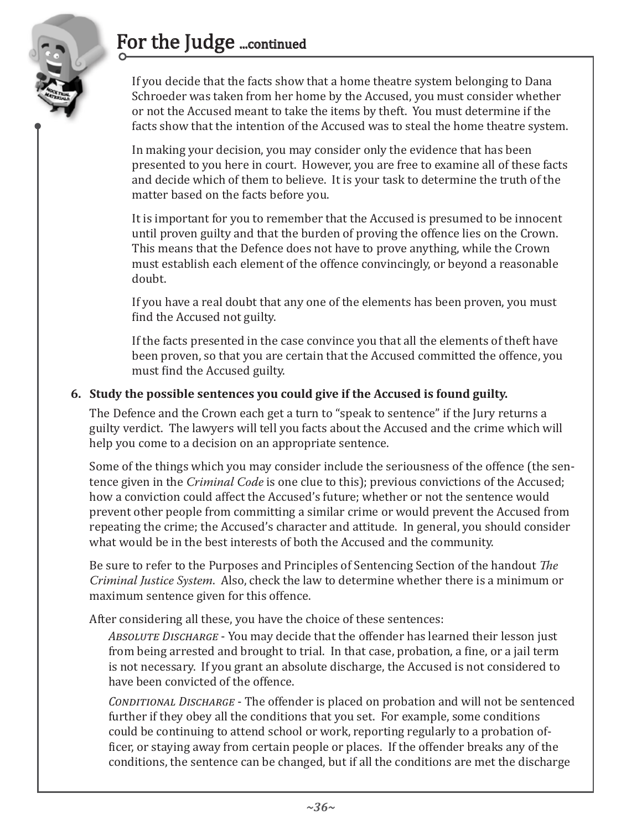# For the Judge ...continued



If you decide that the facts show that a home theatre system belonging to Dana Schroeder was taken from her home by the Accused, you must consider whether or not the Accused meant to take the items by theft. You must determine if the facts show that the intention of the Accused was to steal the home theatre system.

In making your decision, you may consider only the evidence that has been presented to you here in court. However, you are free to examine all of these facts and decide which of them to believe. It is your task to determine the truth of the matter based on the facts before you.

It is important for you to remember that the Accused is presumed to be innocent until proven guilty and that the burden of proving the offence lies on the Crown. This means that the Defence does not have to prove anything, while the Crown must establish each element of the offence convincingly, or beyond a reasonable doubt.

If you have a real doubt that any one of the elements has been proven, you must find the Accused not guilty.

If the facts presented in the case convince you that all the elements of theft have been proven, so that you are certain that the Accused committed the offence, you must find the Accused guilty.

#### **6. Study the possible sentences you could give if the Accused is found guilty.**

The Defence and the Crown each get a turn to "speak to sentence" if the Jury returns a guilty verdict. The lawyers will tell you facts about the Accused and the crime which will help you come to a decision on an appropriate sentence.

Some of the things which you may consider include the seriousness of the offence (the sentence given in the *Criminal Code* is one clue to this); previous convictions of the Accused; how a conviction could affect the Accused's future; whether or not the sentence would prevent other people from committing a similar crime or would prevent the Accused from repeating the crime; the Accused's character and attitude. In general, you should consider what would be in the best interests of both the Accused and the community.

Be sure to refer to the Purposes and Principles of Sentencing Section of the handout *The Criminal Justice System*. Also, check the law to determine whether there is a minimum or maximum sentence given for this offence.

After considering all these, you have the choice of these sentences:

*Absolute Discharge* - You may decide that the offender has learned their lesson just from being arrested and brought to trial. In that case, probation, a fine, or a jail term is not necessary. If you grant an absolute discharge, the Accused is not considered to have been convicted of the offence.

*Conditional Discharge* - The offender is placed on probation and will not be sentenced further if they obey all the conditions that you set. For example, some conditions could be continuing to attend school or work, reporting regularly to a probation officer, or staying away from certain people or places. If the offender breaks any of the conditions, the sentence can be changed, but if all the conditions are met the discharge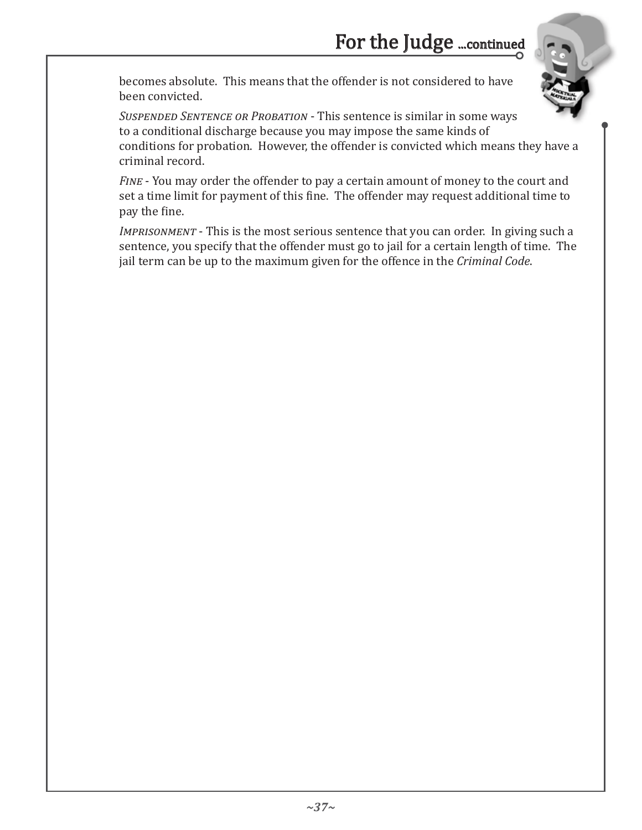becomes absolute. This means that the offender is not considered to have been convicted.

*Suspended Sentence or Probation* - This sentence is similar in some ways to a conditional discharge because you may impose the same kinds of conditions for probation. However, the offender is convicted which means they have a criminal record.

*Fine* - You may order the offender to pay a certain amount of money to the court and set a time limit for payment of this fine. The offender may request additional time to pay the fine.

*Imprisonment* - This is the most serious sentence that you can order. In giving such a sentence, you specify that the offender must go to jail for a certain length of time. The jail term can be up to the maximum given for the offence in the *Criminal Code*.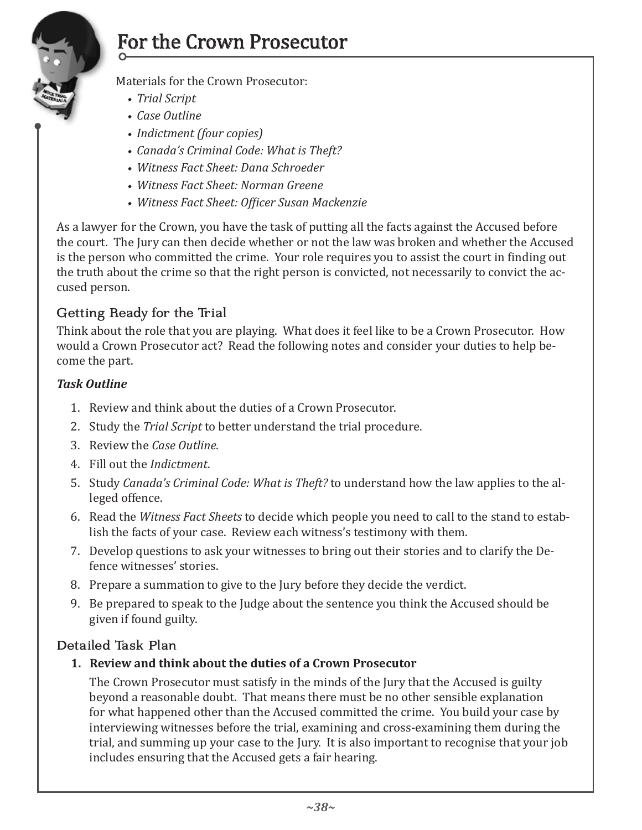

# For the Crown Prosecutor

Materials for the Crown Prosecutor:

- *Trial Script*
- *Case Outline*
- *Indictment (four copies)*
- *Canada's Criminal Code: What is Theft?*
- *Witness Fact Sheet: Dana Schroeder*
- *Witness Fact Sheet: Norman Greene*
- *Witness Fact Sheet: Officer Susan Mackenzie*

As a lawyer for the Crown, you have the task of putting all the facts against the Accused before the court. The Jury can then decide whether or not the law was broken and whether the Accused is the person who committed the crime. Your role requires you to assist the court in finding out the truth about the crime so that the right person is convicted, not necessarily to convict the accused person.

# Getting Ready for the Trial

Think about the role that you are playing. What does it feel like to be a Crown Prosecutor. How would a Crown Prosecutor act? Read the following notes and consider your duties to help become the part.

#### *Task Outline*

- 1. Review and think about the duties of a Crown Prosecutor.
- 2. Study the *Trial Script* to better understand the trial procedure.
- 3. Review the *Case Outline*.
- 4. Fill out the *Indictment*.
- 5. Study *Canada's Criminal Code: What is Theft?* to understand how the law applies to the alleged offence.
- 6. Read the *Witness Fact Sheets* to decide which people you need to call to the stand to establish the facts of your case. Review each witness's testimony with them.
- 7. Develop questions to ask your witnesses to bring out their stories and to clarify the Defence witnesses' stories.
- 8. Prepare a summation to give to the Jury before they decide the verdict.
- 9. Be prepared to speak to the Judge about the sentence you think the Accused should be given if found guilty.

#### Detailed Task Plan

**1. Review and think about the duties of a Crown Prosecutor**

The Crown Prosecutor must satisfy in the minds of the Jury that the Accused is guilty beyond a reasonable doubt. That means there must be no other sensible explanation for what happened other than the Accused committed the crime. You build your case by interviewing witnesses before the trial, examining and cross-examining them during the trial, and summing up your case to the Jury. It is also important to recognise that your job includes ensuring that the Accused gets a fair hearing.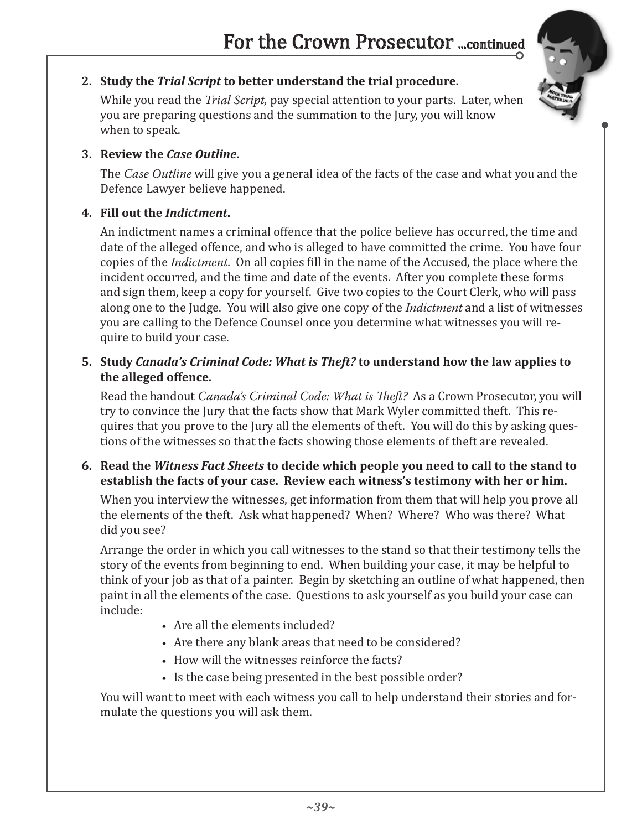### **2. Study the** *Trial Script* **to better understand the trial procedure.**

While you read the *Trial Script,* pay special attention to your parts. Later, when you are preparing questions and the summation to the Jury, you will know when to speak.

#### **3. Review the** *Case Outline***.**

The *Case Outline* will give you a general idea of the facts of the case and what you and the Defence Lawyer believe happened.

#### **4. Fill out the** *Indictment***.**

An indictment names a criminal offence that the police believe has occurred, the time and date of the alleged offence, and who is alleged to have committed the crime. You have four copies of the *Indictment.* On all copies fill in the name of the Accused, the place where the incident occurred, and the time and date of the events. After you complete these forms and sign them, keep a copy for yourself. Give two copies to the Court Clerk, who will pass along one to the Judge. You will also give one copy of the *Indictment* and a list of witnesses you are calling to the Defence Counsel once you determine what witnesses you will require to build your case.

#### **5. Study** *Canada's Criminal Code: What is Theft?* **to understand how the law applies to the alleged offence.**

Read the handout *Canada's Criminal Code: What is Theft?* As a Crown Prosecutor, you will try to convince the Jury that the facts show that Mark Wyler committed theft. This requires that you prove to the Jury all the elements of theft. You will do this by asking questions of the witnesses so that the facts showing those elements of theft are revealed.

**6. Read the** *Witness Fact Sheets* **to decide which people you need to call to the stand to establish the facts of your case. Review each witness's testimony with her or him.** 

When you interview the witnesses, get information from them that will help you prove all the elements of the theft. Ask what happened? When? Where? Who was there? What did you see?

Arrange the order in which you call witnesses to the stand so that their testimony tells the story of the events from beginning to end. When building your case, it may be helpful to think of your job as that of a painter. Begin by sketching an outline of what happened, then paint in all the elements of the case. Questions to ask yourself as you build your case can include:

- Are all the elements included?
- Are there any blank areas that need to be considered?
- How will the witnesses reinforce the facts?
- Is the case being presented in the best possible order?

You will want to meet with each witness you call to help understand their stories and formulate the questions you will ask them.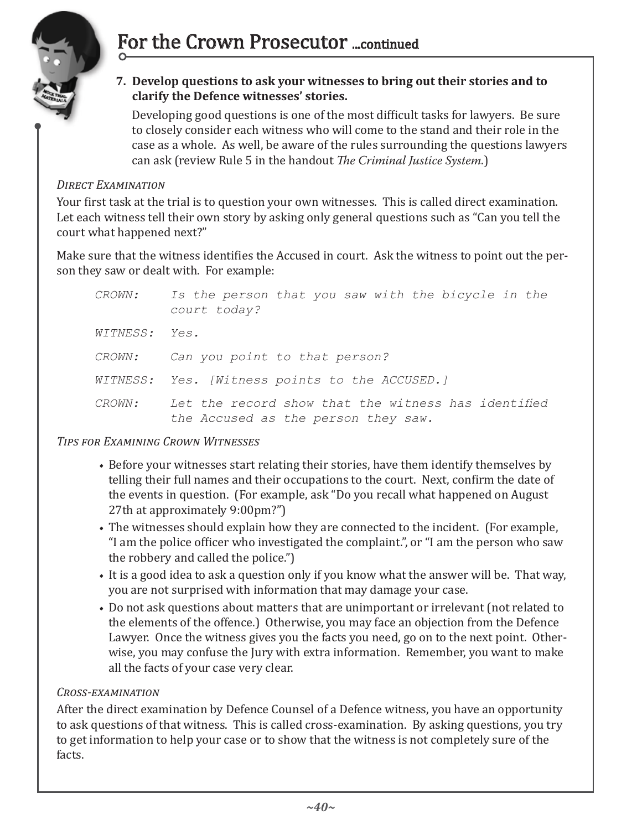

- 
- **7. Develop questions to ask your witnesses to bring out their stories and to clarify the Defence witnesses' stories.**

Developing good questions is one of the most difficult tasks for lawyers. Be sure to closely consider each witness who will come to the stand and their role in the case as a whole. As well, be aware of the rules surrounding the questions lawyers can ask (review Rule 5 in the handout *The Criminal Justice System*.)

#### *Direct Examination*

Your first task at the trial is to question your own witnesses. This is called direct examination. Let each witness tell their own story by asking only general questions such as "Can you tell the court what happened next?"

Make sure that the witness identifies the Accused in court. Ask the witness to point out the person they saw or dealt with. For example:

| <i>CROWN:</i> | Is the person that you saw with the bicycle in the<br>court today?                         |
|---------------|--------------------------------------------------------------------------------------------|
| WITNESS: Yes. |                                                                                            |
| <i>CROWN:</i> | Can you point to that person?                                                              |
|               | WITNESS: Yes. [Witness points to the ACCUSED.]                                             |
| <i>CROWN:</i> | Let the record show that the witness has identified<br>the Accused as the person they saw. |

#### *Tips for Examining Crown Witnesses*

- Before your witnesses start relating their stories, have them identify themselves by telling their full names and their occupations to the court. Next, confirm the date of the events in question. (For example, ask "Do you recall what happened on August 27th at approximately 9:00pm?")
- The witnesses should explain how they are connected to the incident. (For example, "I am the police officer who investigated the complaint.", or "I am the person who saw the robbery and called the police.")
- It is a good idea to ask a question only if you know what the answer will be. That way, you are not surprised with information that may damage your case.
- Do not ask questions about matters that are unimportant or irrelevant (not related to the elements of the offence.) Otherwise, you may face an objection from the Defence Lawyer. Once the witness gives you the facts you need, go on to the next point. Otherwise, you may confuse the Jury with extra information. Remember, you want to make all the facts of your case very clear.

#### *Cross-examination*

After the direct examination by Defence Counsel of a Defence witness, you have an opportunity to ask questions of that witness. This is called cross-examination. By asking questions, you try to get information to help your case or to show that the witness is not completely sure of the facts.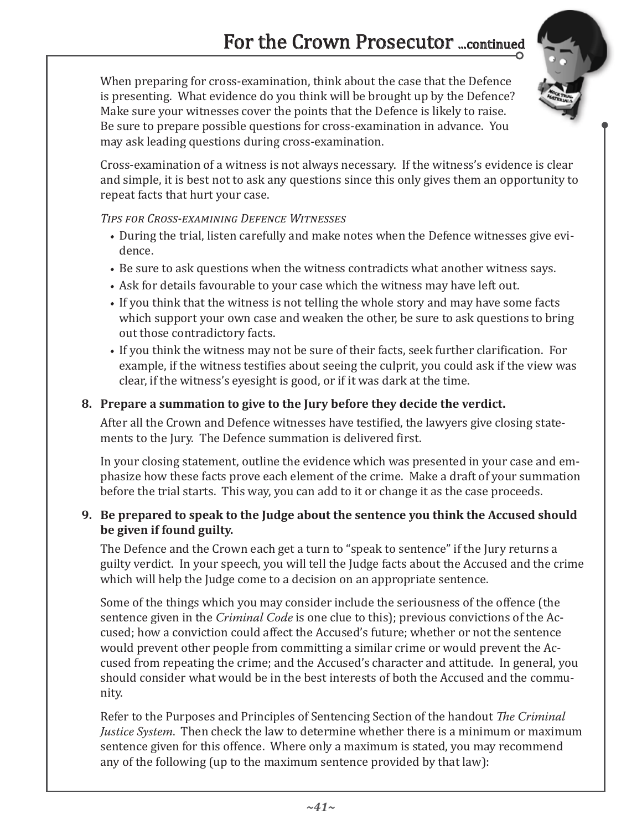When preparing for cross-examination, think about the case that the Defence is presenting. What evidence do you think will be brought up by the Defence? Make sure your witnesses cover the points that the Defence is likely to raise. Be sure to prepare possible questions for cross-examination in advance. You may ask leading questions during cross-examination.



Cross-examination of a witness is not always necessary. If the witness's evidence is clear and simple, it is best not to ask any questions since this only gives them an opportunity to repeat facts that hurt your case.

#### *Tips for Cross-examining Defence Witnesses*

- During the trial, listen carefully and make notes when the Defence witnesses give evidence.
- Be sure to ask questions when the witness contradicts what another witness says.
- Ask for details favourable to your case which the witness may have left out.
- If you think that the witness is not telling the whole story and may have some facts which support your own case and weaken the other, be sure to ask questions to bring out those contradictory facts.
- If you think the witness may not be sure of their facts, seek further clarification. For example, if the witness testifies about seeing the culprit, you could ask if the view was clear, if the witness's eyesight is good, or if it was dark at the time.

### **8. Prepare a summation to give to the Jury before they decide the verdict.**

After all the Crown and Defence witnesses have testified, the lawyers give closing statements to the Jury. The Defence summation is delivered first.

In your closing statement, outline the evidence which was presented in your case and emphasize how these facts prove each element of the crime. Make a draft of your summation before the trial starts. This way, you can add to it or change it as the case proceeds.

#### **9. Be prepared to speak to the Judge about the sentence you think the Accused should be given if found guilty.**

The Defence and the Crown each get a turn to "speak to sentence" if the Jury returns a guilty verdict. In your speech, you will tell the Judge facts about the Accused and the crime which will help the Judge come to a decision on an appropriate sentence.

Some of the things which you may consider include the seriousness of the offence (the sentence given in the *Criminal Code* is one clue to this); previous convictions of the Accused; how a conviction could affect the Accused's future; whether or not the sentence would prevent other people from committing a similar crime or would prevent the Accused from repeating the crime; and the Accused's character and attitude. In general, you should consider what would be in the best interests of both the Accused and the community.

Refer to the Purposes and Principles of Sentencing Section of the handout *The Criminal Justice System*. Then check the law to determine whether there is a minimum or maximum sentence given for this offence. Where only a maximum is stated, you may recommend any of the following (up to the maximum sentence provided by that law):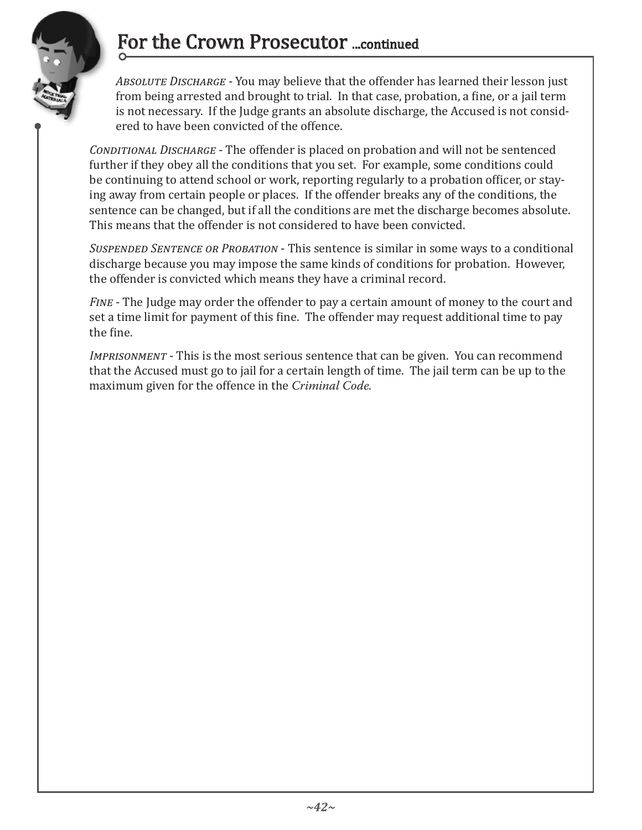# For the Crown Prosecutor ...continued



*Absolute Discharge* - You may believe that the offender has learned their lesson just from being arrested and brought to trial. In that case, probation, a fine, or a jail term is not necessary. If the Judge grants an absolute discharge, the Accused is not considered to have been convicted of the offence.

*Conditional Discharge* - The offender is placed on probation and will not be sentenced further if they obey all the conditions that you set. For example, some conditions could be continuing to attend school or work, reporting regularly to a probation officer, or staying away from certain people or places. If the offender breaks any of the conditions, the sentence can be changed, but if all the conditions are met the discharge becomes absolute. This means that the offender is not considered to have been convicted.

*Suspended Sentence or Probation* - This sentence is similar in some ways to a conditional discharge because you may impose the same kinds of conditions for probation. However, the offender is convicted which means they have a criminal record.

*Fine* - The Judge may order the offender to pay a certain amount of money to the court and set a time limit for payment of this fine. The offender may request additional time to pay the fine.

*Imprisonment* - This is the most serious sentence that can be given. You can recommend that the Accused must go to jail for a certain length of time. The jail term can be up to the maximum given for the offence in the *Criminal Code*.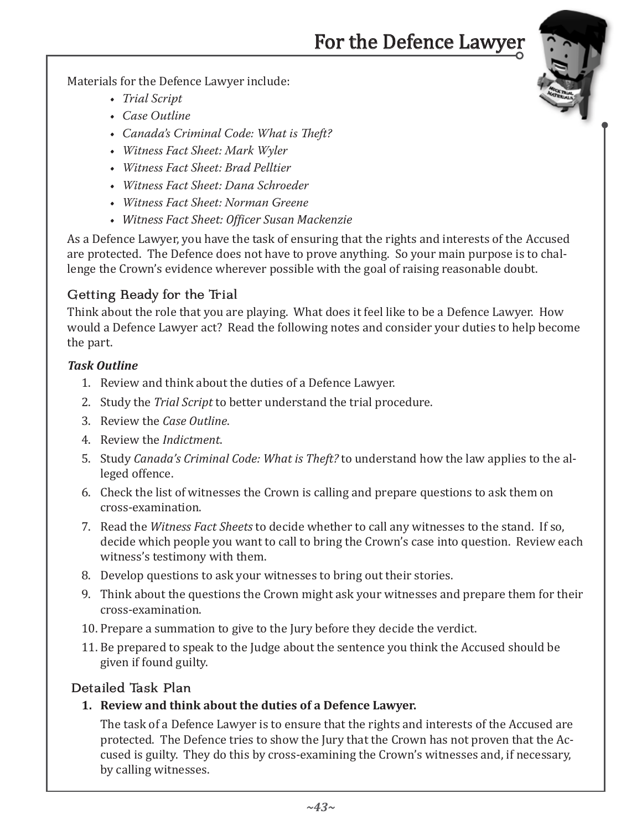# For the Defence Lawyer

Materials for the Defence Lawyer include:

- *Trial Script*
- • *Case Outline*
- • *Canada's Criminal Code: What is Theft?*
- • *Witness Fact Sheet: Mark Wyler*
- • *Witness Fact Sheet: Brad Pelltier*
- • *Witness Fact Sheet: Dana Schroeder*
- • *Witness Fact Sheet: Norman Greene*
- *Witness Fact Sheet: Officer Susan Mackenzie*

As a Defence Lawyer, you have the task of ensuring that the rights and interests of the Accused are protected. The Defence does not have to prove anything. So your main purpose is to challenge the Crown's evidence wherever possible with the goal of raising reasonable doubt.

### Getting Ready for the Trial

Think about the role that you are playing. What does it feel like to be a Defence Lawyer. How would a Defence Lawyer act? Read the following notes and consider your duties to help become the part.

#### *Task Outline*

- 1. Review and think about the duties of a Defence Lawyer.
- 2. Study the *Trial Script* to better understand the trial procedure.
- 3. Review the *Case Outline*.
- 4. Review the *Indictment*.
- 5. Study *Canada's Criminal Code: What is Theft?* to understand how the law applies to the alleged offence.
- 6. Check the list of witnesses the Crown is calling and prepare questions to ask them on cross-examination.
- 7. Read the *Witness Fact Sheets* to decide whether to call any witnesses to the stand. If so, decide which people you want to call to bring the Crown's case into question. Review each witness's testimony with them.
- 8. Develop questions to ask your witnesses to bring out their stories.
- 9. Think about the questions the Crown might ask your witnesses and prepare them for their cross-examination.
- 10. Prepare a summation to give to the Jury before they decide the verdict.
- 11. Be prepared to speak to the Judge about the sentence you think the Accused should be given if found guilty.

#### Detailed Task Plan

**1. Review and think about the duties of a Defence Lawyer.**

The task of a Defence Lawyer is to ensure that the rights and interests of the Accused are protected. The Defence tries to show the Jury that the Crown has not proven that the Accused is guilty. They do this by cross-examining the Crown's witnesses and, if necessary, by calling witnesses.

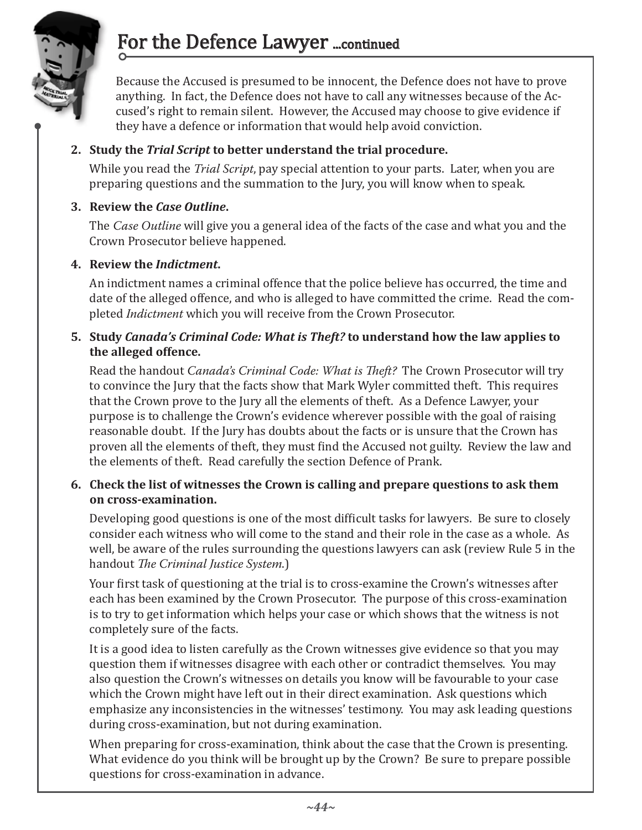

# For the Defence Lawyer ...continued

Because the Accused is presumed to be innocent, the Defence does not have to prove anything. In fact, the Defence does not have to call any witnesses because of the Accused's right to remain silent. However, the Accused may choose to give evidence if they have a defence or information that would help avoid conviction.

#### **2. Study the** *Trial Script* **to better understand the trial procedure.**

While you read the *Trial Script*, pay special attention to your parts. Later, when you are preparing questions and the summation to the Jury, you will know when to speak.

#### **3. Review the** *Case Outline***.**

The *Case Outline* will give you a general idea of the facts of the case and what you and the Crown Prosecutor believe happened.

#### **4. Review the** *Indictment***.**

An indictment names a criminal offence that the police believe has occurred, the time and date of the alleged offence, and who is alleged to have committed the crime. Read the completed *Indictment* which you will receive from the Crown Prosecutor.

#### **5. Study** *Canada's Criminal Code: What is Theft?* **to understand how the law applies to the alleged offence.**

Read the handout *Canada's Criminal Code: What is Theft?* The Crown Prosecutor will try to convince the Jury that the facts show that Mark Wyler committed theft. This requires that the Crown prove to the Jury all the elements of theft. As a Defence Lawyer, your purpose is to challenge the Crown's evidence wherever possible with the goal of raising reasonable doubt. If the Jury has doubts about the facts or is unsure that the Crown has proven all the elements of theft, they must find the Accused not guilty. Review the law and the elements of theft. Read carefully the section Defence of Prank.

#### **6. Check the list of witnesses the Crown is calling and prepare questions to ask them on cross-examination.**

Developing good questions is one of the most difficult tasks for lawyers. Be sure to closely consider each witness who will come to the stand and their role in the case as a whole. As well, be aware of the rules surrounding the questions lawyers can ask (review Rule 5 in the handout *The Criminal Justice System*.)

Your first task of questioning at the trial is to cross-examine the Crown's witnesses after each has been examined by the Crown Prosecutor. The purpose of this cross-examination is to try to get information which helps your case or which shows that the witness is not completely sure of the facts.

It is a good idea to listen carefully as the Crown witnesses give evidence so that you may question them if witnesses disagree with each other or contradict themselves. You may also question the Crown's witnesses on details you know will be favourable to your case which the Crown might have left out in their direct examination. Ask questions which emphasize any inconsistencies in the witnesses' testimony. You may ask leading questions during cross-examination, but not during examination.

When preparing for cross-examination, think about the case that the Crown is presenting. What evidence do you think will be brought up by the Crown? Be sure to prepare possible questions for cross-examination in advance.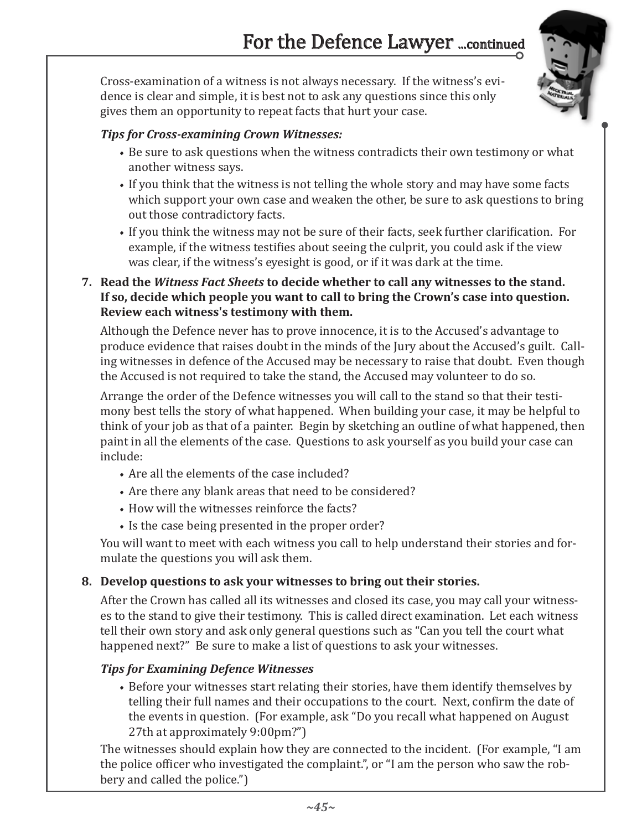Cross-examination of a witness is not always necessary. If the witness's evidence is clear and simple, it is best not to ask any questions since this only gives them an opportunity to repeat facts that hurt your case.



- Be sure to ask questions when the witness contradicts their own testimony or what another witness says.
- If you think that the witness is not telling the whole story and may have some facts which support your own case and weaken the other, be sure to ask questions to bring out those contradictory facts.
- If you think the witness may not be sure of their facts, seek further clarification. For example, if the witness testifies about seeing the culprit, you could ask if the view was clear, if the witness's eyesight is good, or if it was dark at the time.
- **7. Read the** *Witness Fact Sheets* **to decide whether to call any witnesses to the stand. If so, decide which people you want to call to bring the Crown's case into question. Review each witness's testimony with them.**

Although the Defence never has to prove innocence, it is to the Accused's advantage to produce evidence that raises doubt in the minds of the Jury about the Accused's guilt. Calling witnesses in defence of the Accused may be necessary to raise that doubt. Even though the Accused is not required to take the stand, the Accused may volunteer to do so.

Arrange the order of the Defence witnesses you will call to the stand so that their testimony best tells the story of what happened. When building your case, it may be helpful to think of your job as that of a painter. Begin by sketching an outline of what happened, then paint in all the elements of the case. Questions to ask yourself as you build your case can include:

- Are all the elements of the case included?
- Are there any blank areas that need to be considered?
- How will the witnesses reinforce the facts?
- Is the case being presented in the proper order?

You will want to meet with each witness you call to help understand their stories and formulate the questions you will ask them.

#### **8. Develop questions to ask your witnesses to bring out their stories.**

After the Crown has called all its witnesses and closed its case, you may call your witnesses to the stand to give their testimony. This is called direct examination. Let each witness tell their own story and ask only general questions such as "Can you tell the court what happened next?" Be sure to make a list of questions to ask your witnesses.

# *Tips for Examining Defence Witnesses*

• Before your witnesses start relating their stories, have them identify themselves by telling their full names and their occupations to the court. Next, confirm the date of the events in question. (For example, ask "Do you recall what happened on August 27th at approximately 9:00pm?")

The witnesses should explain how they are connected to the incident. (For example, "I am the police officer who investigated the complaint.", or "I am the person who saw the robbery and called the police.")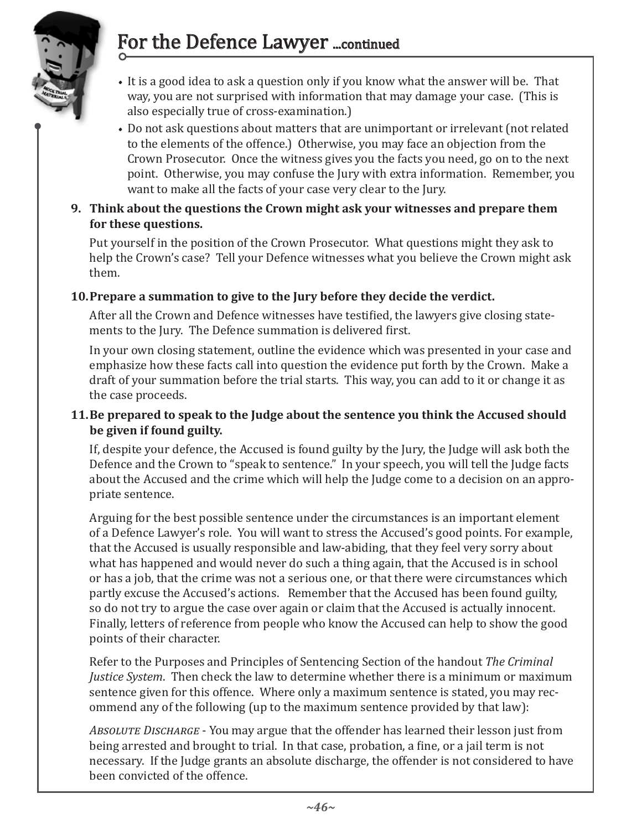# For the Defence Lawyer ...continued



- It is a good idea to ask a question only if you know what the answer will be. That way, you are not surprised with information that may damage your case. (This is also especially true of cross-examination.)
- Do not ask questions about matters that are unimportant or irrelevant (not related to the elements of the offence.) Otherwise, you may face an objection from the Crown Prosecutor. Once the witness gives you the facts you need, go on to the next point. Otherwise, you may confuse the Jury with extra information. Remember, you want to make all the facts of your case very clear to the Jury.
- **9. Think about the questions the Crown might ask your witnesses and prepare them for these questions.**

Put yourself in the position of the Crown Prosecutor. What questions might they ask to help the Crown's case? Tell your Defence witnesses what you believe the Crown might ask them.

### **10. Prepare a summation to give to the Jury before they decide the verdict.**

After all the Crown and Defence witnesses have testified, the lawyers give closing statements to the Jury. The Defence summation is delivered first.

In your own closing statement, outline the evidence which was presented in your case and emphasize how these facts call into question the evidence put forth by the Crown. Make a draft of your summation before the trial starts. This way, you can add to it or change it as the case proceeds.

#### **11. Be prepared to speak to the Judge about the sentence you think the Accused should be given if found guilty.**

If, despite your defence, the Accused is found guilty by the Jury, the Judge will ask both the Defence and the Crown to "speak to sentence." In your speech, you will tell the Judge facts about the Accused and the crime which will help the Judge come to a decision on an appropriate sentence.

Arguing for the best possible sentence under the circumstances is an important element of a Defence Lawyer's role. You will want to stress the Accused's good points. For example, that the Accused is usually responsible and law-abiding, that they feel very sorry about what has happened and would never do such a thing again, that the Accused is in school or has a job, that the crime was not a serious one, or that there were circumstances which partly excuse the Accused's actions. Remember that the Accused has been found guilty, so do not try to argue the case over again or claim that the Accused is actually innocent. Finally, letters of reference from people who know the Accused can help to show the good points of their character.

Refer to the Purposes and Principles of Sentencing Section of the handout *The Criminal Justice System*. Then check the law to determine whether there is a minimum or maximum sentence given for this offence. Where only a maximum sentence is stated, you may recommend any of the following (up to the maximum sentence provided by that law):

*Absolute Discharge* - You may argue that the offender has learned their lesson just from being arrested and brought to trial. In that case, probation, a fine, or a jail term is not necessary. If the Judge grants an absolute discharge, the offender is not considered to have been convicted of the offence.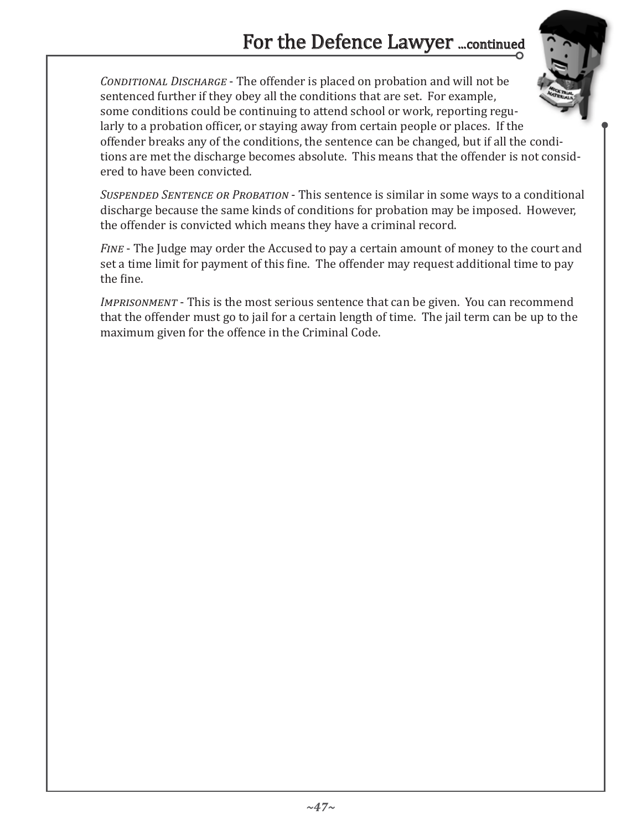# For the Defence Lawyer ...continued

*Conditional Discharge* - The offender is placed on probation and will not be sentenced further if they obey all the conditions that are set. For example, some conditions could be continuing to attend school or work, reporting regularly to a probation officer, or staying away from certain people or places. If the offender breaks any of the conditions, the sentence can be changed, but if all the conditions are met the discharge becomes absolute. This means that the offender is not considered to have been convicted.

*Suspended Sentence or Probation* - This sentence is similar in some ways to a conditional discharge because the same kinds of conditions for probation may be imposed. However, the offender is convicted which means they have a criminal record.

*Fine* - The Judge may order the Accused to pay a certain amount of money to the court and set a time limit for payment of this fine. The offender may request additional time to pay the fine.

*Imprisonment* - This is the most serious sentence that can be given. You can recommend that the offender must go to jail for a certain length of time. The jail term can be up to the maximum given for the offence in the Criminal Code.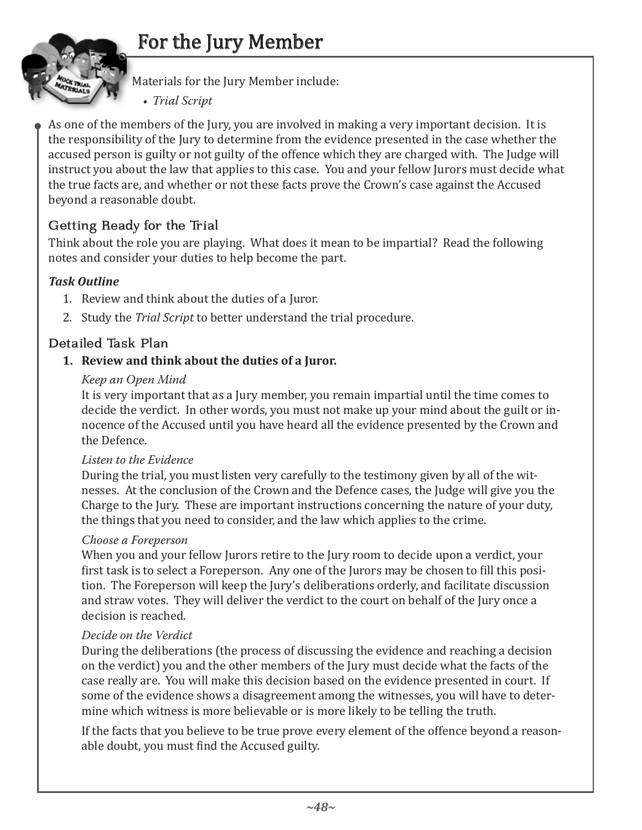# For the Jury Member



Materials for the Jury Member include:

• *Trial Script*

As one of the members of the Jury, you are involved in making a very important decision. It is the responsibility of the Jury to determine from the evidence presented in the case whether the accused person is guilty or not guilty of the offence which they are charged with. The Judge will instruct you about the law that applies to this case. You and your fellow Jurors must decide what the true facts are, and whether or not these facts prove the Crown's case against the Accused beyond a reasonable doubt.

# Getting Ready for the Trial

Think about the role you are playing. What does it mean to be impartial? Read the following notes and consider your duties to help become the part.

# *Task Outline*

- 1. Review and think about the duties of a Juror.
- 2. Study the *Trial Script* to better understand the trial procedure.

# Detailed Task Plan

### **1. Review and think about the duties of a Juror.**

#### *Keep an Open Mind*

It is very important that as a Jury member, you remain impartial until the time comes to decide the verdict. In other words, you must not make up your mind about the guilt or innocence of the Accused until you have heard all the evidence presented by the Crown and the Defence.

#### *Listen to the Evidence*

During the trial, you must listen very carefully to the testimony given by all of the witnesses. At the conclusion of the Crown and the Defence cases, the Judge will give you the Charge to the Jury. These are important instructions concerning the nature of your duty, the things that you need to consider, and the law which applies to the crime.

#### *Choose a Foreperson*

When you and your fellow Jurors retire to the Jury room to decide upon a verdict, your first task is to select a Foreperson. Any one of the Jurors may be chosen to fill this position. The Foreperson will keep the Jury's deliberations orderly, and facilitate discussion and straw votes. They will deliver the verdict to the court on behalf of the Jury once a decision is reached.

#### *Decide on the Verdict*

During the deliberations (the process of discussing the evidence and reaching a decision on the verdict) you and the other members of the Jury must decide what the facts of the case really are. You will make this decision based on the evidence presented in court. If some of the evidence shows a disagreement among the witnesses, you will have to determine which witness is more believable or is more likely to be telling the truth.

If the facts that you believe to be true prove every element of the offence beyond a reasonable doubt, you must find the Accused guilty.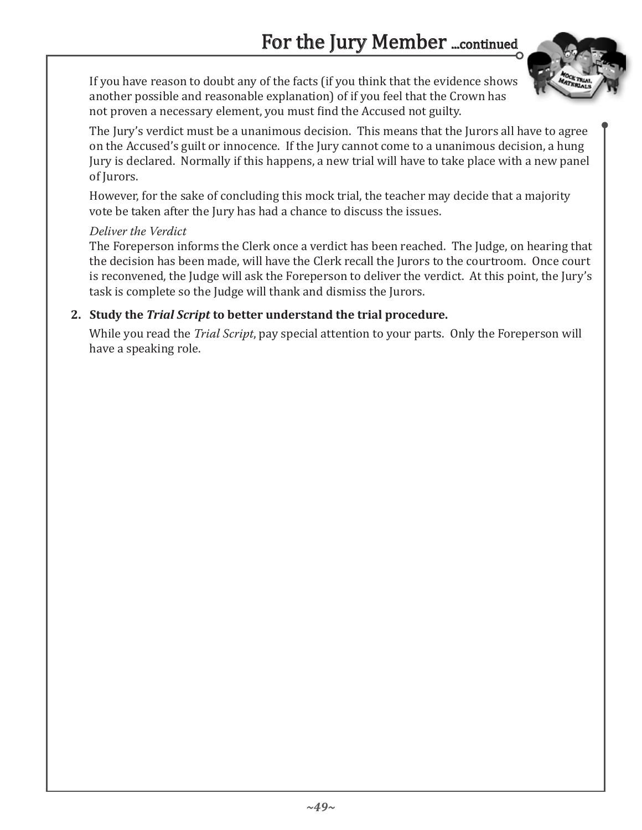

If you have reason to doubt any of the facts (if you think that the evidence shows another possible and reasonable explanation) of if you feel that the Crown has not proven a necessary element, you must find the Accused not guilty.

The Jury's verdict must be a unanimous decision. This means that the Jurors all have to agree on the Accused's guilt or innocence. If the Jury cannot come to a unanimous decision, a hung Jury is declared. Normally if this happens, a new trial will have to take place with a new panel of Jurors.

However, for the sake of concluding this mock trial, the teacher may decide that a majority vote be taken after the Jury has had a chance to discuss the issues.

#### *Deliver the Verdict*

The Foreperson informs the Clerk once a verdict has been reached. The Judge, on hearing that the decision has been made, will have the Clerk recall the Jurors to the courtroom. Once court is reconvened, the Judge will ask the Foreperson to deliver the verdict. At this point, the Jury's task is complete so the Judge will thank and dismiss the Jurors.

#### **2. Study the** *Trial Script* **to better understand the trial procedure.**

While you read the *Trial Script*, pay special attention to your parts. Only the Foreperson will have a speaking role.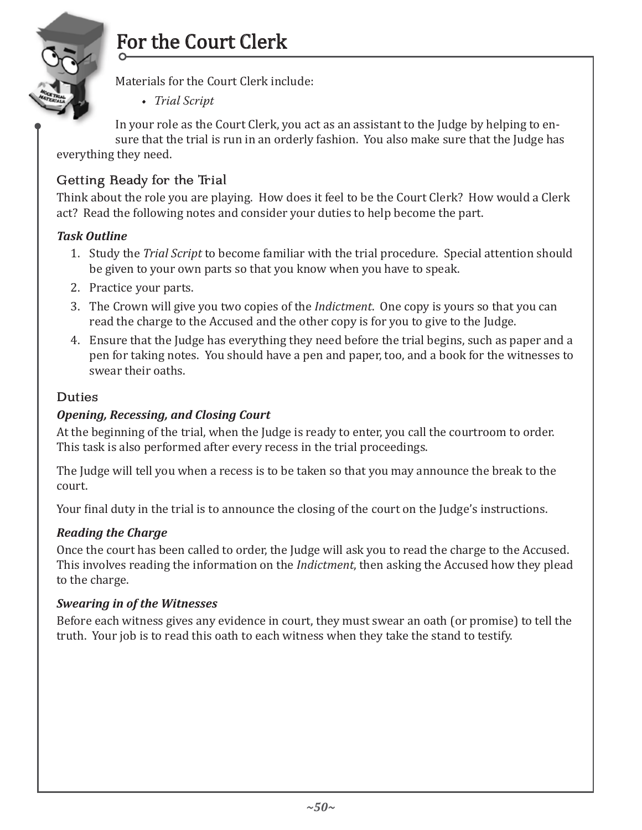

# For the Court Clerk

Materials for the Court Clerk include:

• *Trial Script*

In your role as the Court Clerk, you act as an assistant to the Judge by helping to ensure that the trial is run in an orderly fashion. You also make sure that the Judge has

everything they need.

# Getting Ready for the Trial

Think about the role you are playing. How does it feel to be the Court Clerk? How would a Clerk act? Read the following notes and consider your duties to help become the part.

#### *Task Outline*

- 1. Study the *Trial Script* to become familiar with the trial procedure. Special attention should be given to your own parts so that you know when you have to speak.
- 2. Practice your parts.
- 3. The Crown will give you two copies of the *Indictment*. One copy is yours so that you can read the charge to the Accused and the other copy is for you to give to the Judge.
- 4. Ensure that the Judge has everything they need before the trial begins, such as paper and a pen for taking notes. You should have a pen and paper, too, and a book for the witnesses to swear their oaths.

#### Duties

### *Opening, Recessing, and Closing Court*

At the beginning of the trial, when the Judge is ready to enter, you call the courtroom to order. This task is also performed after every recess in the trial proceedings.

The Judge will tell you when a recess is to be taken so that you may announce the break to the court.

Your final duty in the trial is to announce the closing of the court on the Judge's instructions.

#### *Reading the Charge*

Once the court has been called to order, the Judge will ask you to read the charge to the Accused. This involves reading the information on the *Indictment*, then asking the Accused how they plead to the charge.

#### *Swearing in of the Witnesses*

Before each witness gives any evidence in court, they must swear an oath (or promise) to tell the truth. Your job is to read this oath to each witness when they take the stand to testify.